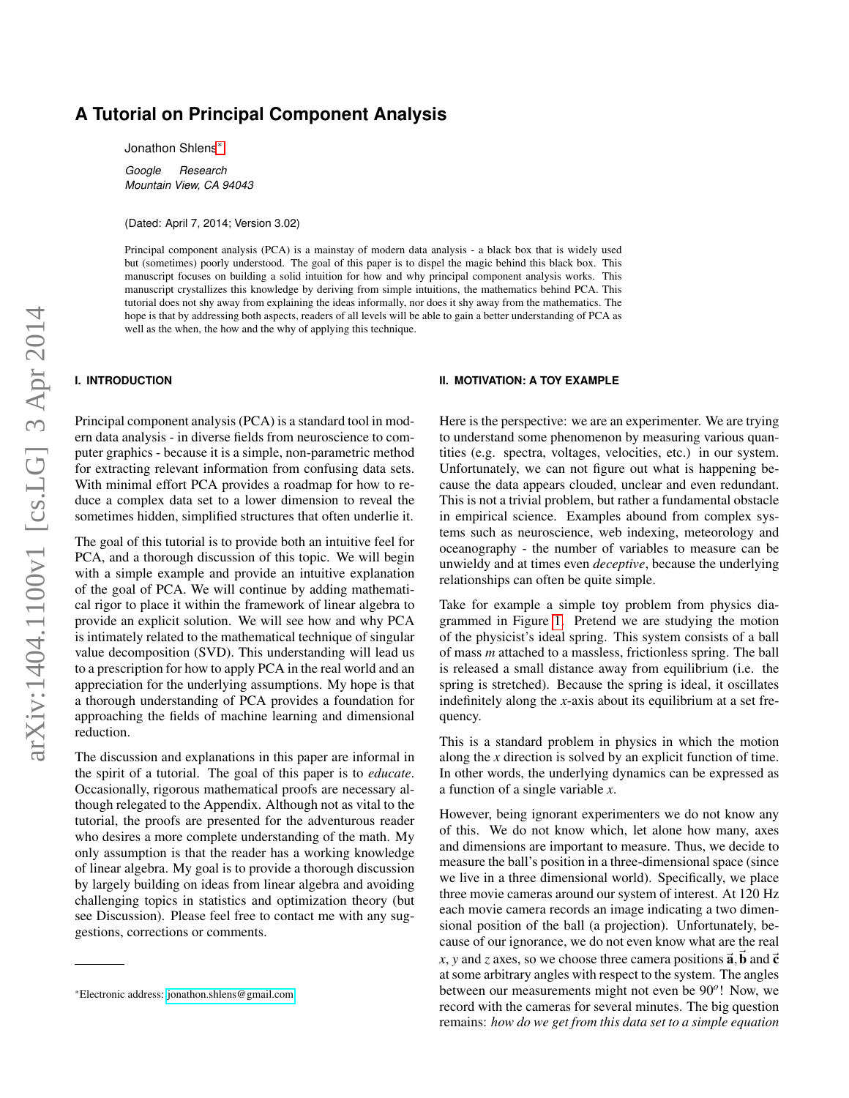# **A Tutorial on Principal Component Analysis**

Jonathon Shlens[∗](#page-0-0)

*Google Research Mountain View, CA 94043*

(Dated: April 7, 2014; Version 3.02)

Principal component analysis (PCA) is a mainstay of modern data analysis - a black box that is widely used but (sometimes) poorly understood. The goal of this paper is to dispel the magic behind this black box. This manuscript focuses on building a solid intuition for how and why principal component analysis works. This manuscript crystallizes this knowledge by deriving from simple intuitions, the mathematics behind PCA. This tutorial does not shy away from explaining the ideas informally, nor does it shy away from the mathematics. The hope is that by addressing both aspects, readers of all levels will be able to gain a better understanding of PCA as well as the when, the how and the why of applying this technique.

#### **I. INTRODUCTION**

Principal component analysis (PCA) is a standard tool in modern data analysis - in diverse fields from neuroscience to computer graphics - because it is a simple, non-parametric method for extracting relevant information from confusing data sets. With minimal effort PCA provides a roadmap for how to reduce a complex data set to a lower dimension to reveal the sometimes hidden, simplified structures that often underlie it.

The goal of this tutorial is to provide both an intuitive feel for PCA, and a thorough discussion of this topic. We will begin with a simple example and provide an intuitive explanation of the goal of PCA. We will continue by adding mathematical rigor to place it within the framework of linear algebra to provide an explicit solution. We will see how and why PCA is intimately related to the mathematical technique of singular value decomposition (SVD). This understanding will lead us to a prescription for how to apply PCA in the real world and an appreciation for the underlying assumptions. My hope is that a thorough understanding of PCA provides a foundation for approaching the fields of machine learning and dimensional reduction.

The discussion and explanations in this paper are informal in the spirit of a tutorial. The goal of this paper is to *educate*. Occasionally, rigorous mathematical proofs are necessary although relegated to the Appendix. Although not as vital to the tutorial, the proofs are presented for the adventurous reader who desires a more complete understanding of the math. My only assumption is that the reader has a working knowledge of linear algebra. My goal is to provide a thorough discussion by largely building on ideas from linear algebra and avoiding challenging topics in statistics and optimization theory (but see Discussion). Please feel free to contact me with any suggestions, corrections or comments.

#### **II. MOTIVATION: A TOY EXAMPLE**

Here is the perspective: we are an experimenter. We are trying to understand some phenomenon by measuring various quantities (e.g. spectra, voltages, velocities, etc.) in our system. Unfortunately, we can not figure out what is happening because the data appears clouded, unclear and even redundant. This is not a trivial problem, but rather a fundamental obstacle in empirical science. Examples abound from complex systems such as neuroscience, web indexing, meteorology and oceanography - the number of variables to measure can be unwieldy and at times even *deceptive*, because the underlying relationships can often be quite simple.

Take for example a simple toy problem from physics diagrammed in Figure [1.](#page-1-0) Pretend we are studying the motion of the physicist's ideal spring. This system consists of a ball of mass *m* attached to a massless, frictionless spring. The ball is released a small distance away from equilibrium (i.e. the spring is stretched). Because the spring is ideal, it oscillates indefinitely along the *x*-axis about its equilibrium at a set frequency.

This is a standard problem in physics in which the motion along the *x* direction is solved by an explicit function of time. In other words, the underlying dynamics can be expressed as a function of a single variable *x*.

However, being ignorant experimenters we do not know any of this. We do not know which, let alone how many, axes and dimensions are important to measure. Thus, we decide to measure the ball's position in a three-dimensional space (since we live in a three dimensional world). Specifically, we place three movie cameras around our system of interest. At 120 Hz each movie camera records an image indicating a two dimensional position of the ball (a projection). Unfortunately, because of our ignorance, we do not even know what are the real *x*, *y* and *z* axes, so we choose three camera positions  $\vec{a}$ ,  $\vec{b}$  and  $\vec{c}$ at some arbitrary angles with respect to the system. The angles between our measurements might not even be 90*<sup>o</sup>* ! Now, we record with the cameras for several minutes. The big question remains: *how do we get from this data set to a simple equation*

<span id="page-0-0"></span><sup>∗</sup>Electronic address: [jonathon.shlens@gmail.com](mailto:jonathon.shlens@gmail.com)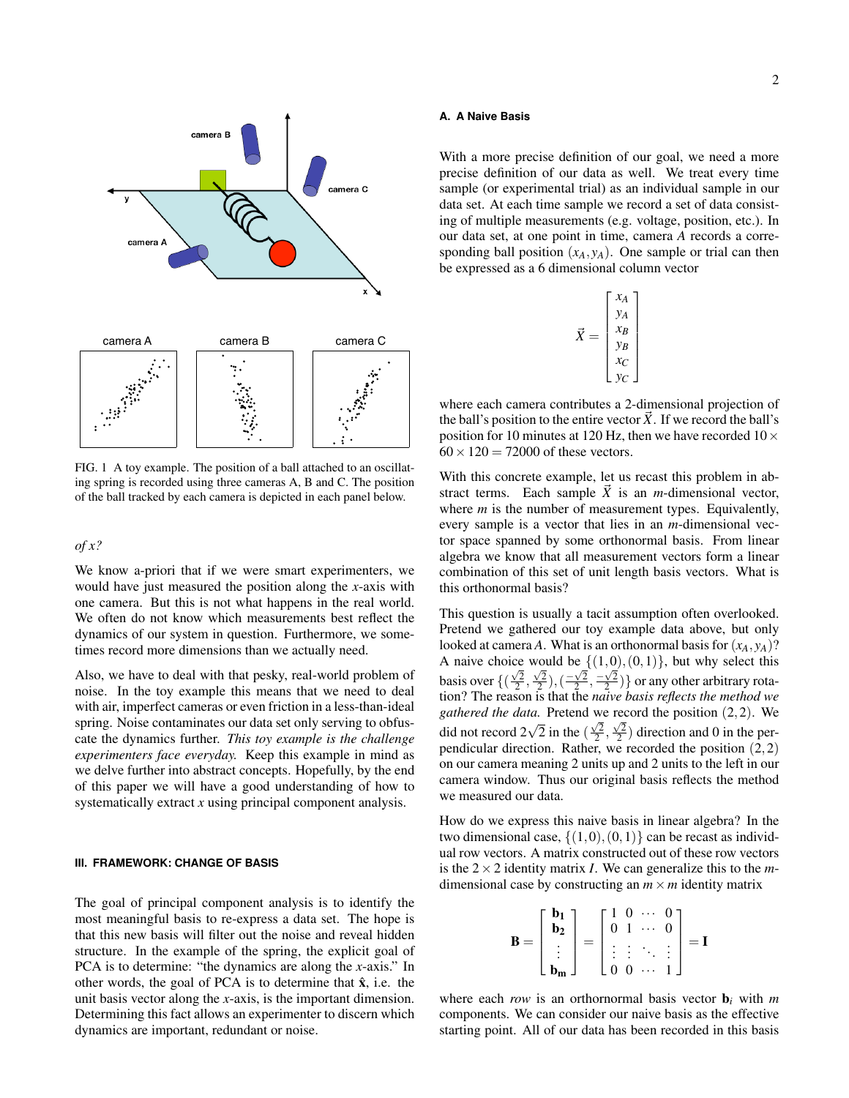

<span id="page-1-0"></span>FIG. 1 A toy example. The position of a ball attached to an oscillating spring is recorded using three cameras A, B and C. The position of the ball tracked by each camera is depicted in each panel below.

# *of x?*

We know a-priori that if we were smart experimenters, we would have just measured the position along the *x*-axis with one camera. But this is not what happens in the real world. We often do not know which measurements best reflect the dynamics of our system in question. Furthermore, we sometimes record more dimensions than we actually need.

Also, we have to deal with that pesky, real-world problem of noise. In the toy example this means that we need to deal with air, imperfect cameras or even friction in a less-than-ideal spring. Noise contaminates our data set only serving to obfuscate the dynamics further. *This toy example is the challenge experimenters face everyday.* Keep this example in mind as we delve further into abstract concepts. Hopefully, by the end of this paper we will have a good understanding of how to systematically extract *x* using principal component analysis.

#### **III. FRAMEWORK: CHANGE OF BASIS**

The goal of principal component analysis is to identify the most meaningful basis to re-express a data set. The hope is that this new basis will filter out the noise and reveal hidden structure. In the example of the spring, the explicit goal of PCA is to determine: "the dynamics are along the *x*-axis." In other words, the goal of PCA is to determine that  $\hat{x}$ , i.e. the unit basis vector along the *x*-axis, is the important dimension. Determining this fact allows an experimenter to discern which dynamics are important, redundant or noise.

#### **A. A Naive Basis**

With a more precise definition of our goal, we need a more precise definition of our data as well. We treat every time sample (or experimental trial) as an individual sample in our data set. At each time sample we record a set of data consisting of multiple measurements (e.g. voltage, position, etc.). In our data set, at one point in time, camera *A* records a corresponding ball position  $(x_A, y_A)$ . One sample or trial can then be expressed as a 6 dimensional column vector

|   | $x_A$ |
|---|-------|
|   | УA    |
| Ý | $x_B$ |
|   | УB    |
|   | $x_C$ |
|   | ŋ     |

where each camera contributes a 2-dimensional projection of the ball's position to the entire vector  $\vec{X}$ . If we record the ball's position for 10 minutes at 120 Hz, then we have recorded  $10 \times$  $60 \times 120 = 72000$  of these vectors.

With this concrete example, let us recast this problem in abstract terms. Each sample  $\overline{X}$  is an *m*-dimensional vector, where *m* is the number of measurement types. Equivalently, every sample is a vector that lies in an *m*-dimensional vector space spanned by some orthonormal basis. From linear algebra we know that all measurement vectors form a linear combination of this set of unit length basis vectors. What is this orthonormal basis?

This question is usually a tacit assumption often overlooked. Pretend we gathered our toy example data above, but only looked at camera *A*. What is an orthonormal basis for  $(x_A, y_A)$ ? A naive choice would be  $\{(1,0),(0,1)\}$ , but why select this basis over  $\{(\frac{\sqrt{2}}{2}, \frac{\sqrt{2}}{2}), (\frac{-\sqrt{2}}{2}, \frac{-\sqrt{2}}{2})\}$  or any other arbitrary rotation? The reason is that the *naive basis reflects the method we gathered the data.* Pretend we record the position  $(2, 2)$ . We did not record  $2\sqrt{2}$  in the  $(\frac{\sqrt{2}}{2}, \frac{\sqrt{2}}{2})$  direction and 0 in the perpendicular direction. Rather, we recorded the position  $(2,2)$ on our camera meaning 2 units up and 2 units to the left in our camera window. Thus our original basis reflects the method we measured our data.

How do we express this naive basis in linear algebra? In the two dimensional case,  $\{(1,0),(0,1)\}$  can be recast as individual row vectors. A matrix constructed out of these row vectors is the  $2 \times 2$  identity matrix *I*. We can generalize this to the *m*dimensional case by constructing an  $m \times m$  identity matrix

$$
\mathbf{B} = \left[ \begin{array}{c} \mathbf{b_1} \\ \mathbf{b_2} \\ \vdots \\ \mathbf{b_m} \end{array} \right] = \left[ \begin{array}{cccc} 1 & 0 & \cdots & 0 \\ 0 & 1 & \cdots & 0 \\ \vdots & \vdots & \ddots & \vdots \\ 0 & 0 & \cdots & 1 \end{array} \right] = \mathbf{I}
$$

where each *row* is an orthornormal basis vector b*<sup>i</sup>* with *m* components. We can consider our naive basis as the effective starting point. All of our data has been recorded in this basis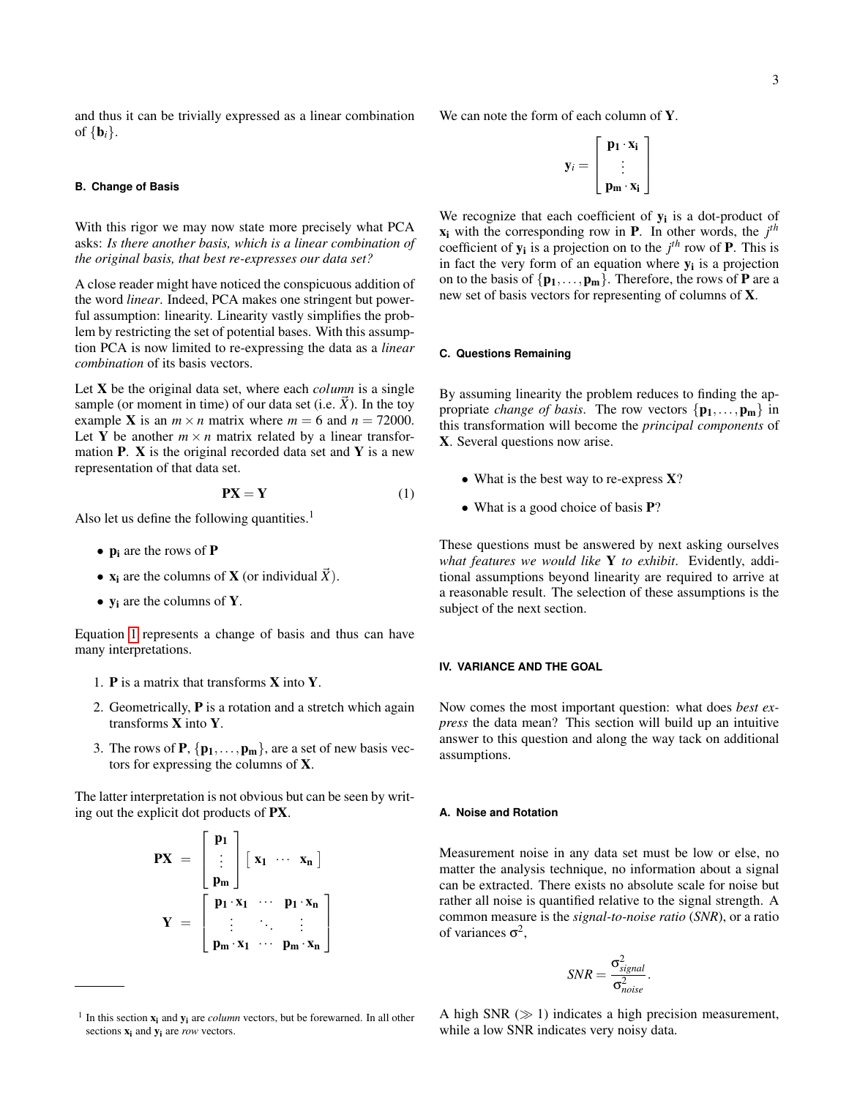and thus it can be trivially expressed as a linear combination of  ${ \bf b}_i$ .

#### **B. Change of Basis**

With this rigor we may now state more precisely what PCA asks: *Is there another basis, which is a linear combination of the original basis, that best re-expresses our data set?*

A close reader might have noticed the conspicuous addition of the word *linear*. Indeed, PCA makes one stringent but powerful assumption: linearity. Linearity vastly simplifies the problem by restricting the set of potential bases. With this assumption PCA is now limited to re-expressing the data as a *linear combination* of its basis vectors.

Let X be the original data set, where each *column* is a single sample (or moment in time) of our data set (i.e.  $\vec{X}$ ). In the toy example **X** is an  $m \times n$  matrix where  $m = 6$  and  $n = 72000$ . Let **Y** be another  $m \times n$  matrix related by a linear transformation  $P$ . X is the original recorded data set and Y is a new representation of that data set.

<span id="page-2-0"></span>
$$
PX = Y \tag{1}
$$

Also let us define the following quantities. $<sup>1</sup>$ </sup>

- $\mathbf{p}_i$  are the rows of **P**
- $\mathbf{x}_i$  are the columns of **X** (or individual  $\vec{X}$ ).
- $y_i$  are the columns of Y.

Equation [1](#page-2-0) represents a change of basis and thus can have many interpretations.

- 1. P is a matrix that transforms X into Y.
- 2. Geometrically, P is a rotation and a stretch which again transforms X into Y.
- 3. The rows of  $P, \{p_1, \ldots, p_m\}$ , are a set of new basis vectors for expressing the columns of X.

The latter interpretation is not obvious but can be seen by writing out the explicit dot products of PX.

$$
PX = \begin{bmatrix} p_1 \\ \vdots \\ p_m \end{bmatrix} \begin{bmatrix} x_1 & \cdots & x_n \end{bmatrix}
$$

$$
Y = \begin{bmatrix} p_1 \cdot x_1 & \cdots & p_1 \cdot x_n \\ \vdots & \ddots & \vdots \\ p_m \cdot x_1 & \cdots & p_m \cdot x_n \end{bmatrix}
$$

We can note the form of each column of **Y**.

$$
\mathbf{y}_i = \left[ \begin{array}{c} \mathbf{p}_1 \cdot \mathbf{x}_i \\ \vdots \\ \mathbf{p}_m \cdot \mathbf{x}_i \end{array} \right]
$$

We recognize that each coefficient of  $y_i$  is a dot-product of  $x_i$  with the corresponding row in **P**. In other words, the  $j<sup>th</sup>$ coefficient of  $y_i$  is a projection on to the  $j<sup>th</sup>$  row of **P**. This is in fact the very form of an equation where  $y_i$  is a projection on to the basis of  $\{p_1, \ldots, p_m\}$ . Therefore, the rows of **P** are a new set of basis vectors for representing of columns of X.

#### **C. Questions Remaining**

By assuming linearity the problem reduces to finding the appropriate *change of basis*. The row vectors  $\{p_1, \ldots, p_m\}$  in this transformation will become the *principal components* of X. Several questions now arise.

- What is the best way to re-express **X**?
- What is a good choice of basis **P**?

These questions must be answered by next asking ourselves *what features we would like* Y *to exhibit*. Evidently, additional assumptions beyond linearity are required to arrive at a reasonable result. The selection of these assumptions is the subject of the next section.

### **IV. VARIANCE AND THE GOAL**

Now comes the most important question: what does *best express* the data mean? This section will build up an intuitive answer to this question and along the way tack on additional assumptions.

#### **A. Noise and Rotation**

Measurement noise in any data set must be low or else, no matter the analysis technique, no information about a signal can be extracted. There exists no absolute scale for noise but rather all noise is quantified relative to the signal strength. A common measure is the *signal-to-noise ratio* (*SNR*), or a ratio of variances  $\sigma^2$ ,

$$
SNR = \frac{\sigma_{signal}^2}{\sigma_{noise}^2}.
$$

A high SNR  $(\gg 1)$  indicates a high precision measurement, while a low SNR indicates very noisy data.

<sup>&</sup>lt;sup>1</sup> In this section  $x_i$  and  $y_i$  are *column* vectors, but be forewarned. In all other sections  $x_i$  and  $y_i$  are *row* vectors.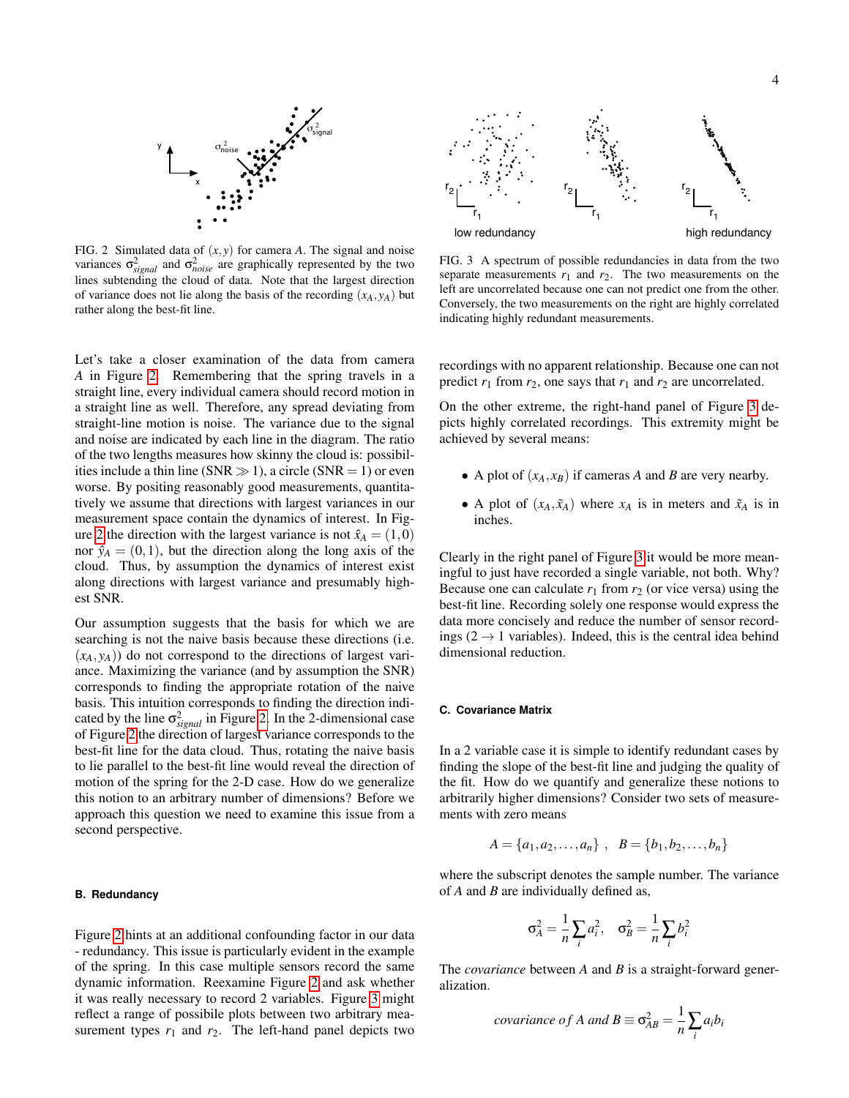

<span id="page-3-0"></span>FIG. 2 Simulated data of  $(x, y)$  for camera *A*. The signal and noise variances  $\sigma_{signal}^2$  and  $\sigma_{noise}^2$  are graphically represented by the two lines subtending the cloud of data. Note that the largest direction of variance does not lie along the basis of the recording  $(x_A, y_A)$  but rather along the best-fit line.

Let's take a closer examination of the data from camera *A* in Figure [2.](#page-3-0) Remembering that the spring travels in a straight line, every individual camera should record motion in a straight line as well. Therefore, any spread deviating from straight-line motion is noise. The variance due to the signal and noise are indicated by each line in the diagram. The ratio of the two lengths measures how skinny the cloud is: possibilities include a thin line (SNR  $\gg$  1), a circle (SNR = 1) or even worse. By positing reasonably good measurements, quantitatively we assume that directions with largest variances in our measurement space contain the dynamics of interest. In Fig-ure [2](#page-3-0) the direction with the largest variance is not  $\hat{x}_A = (1,0)$ nor  $\hat{y}_A = (0,1)$ , but the direction along the long axis of the cloud. Thus, by assumption the dynamics of interest exist along directions with largest variance and presumably highest SNR.

Our assumption suggests that the basis for which we are searching is not the naive basis because these directions (i.e.  $(x_A, y_A)$  do not correspond to the directions of largest variance. Maximizing the variance (and by assumption the SNR) corresponds to finding the appropriate rotation of the naive basis. This intuition corresponds to finding the direction indicated by the line  $\sigma_{signal}^2$  in Figure [2.](#page-3-0) In the 2-dimensional case of Figure [2](#page-3-0) the direction of largest variance corresponds to the best-fit line for the data cloud. Thus, rotating the naive basis to lie parallel to the best-fit line would reveal the direction of motion of the spring for the 2-D case. How do we generalize this notion to an arbitrary number of dimensions? Before we approach this question we need to examine this issue from a second perspective.

#### **B. Redundancy**

Figure [2](#page-3-0) hints at an additional confounding factor in our data - redundancy. This issue is particularly evident in the example of the spring. In this case multiple sensors record the same dynamic information. Reexamine Figure [2](#page-3-0) and ask whether it was really necessary to record 2 variables. Figure [3](#page-3-1) might reflect a range of possibile plots between two arbitrary measurement types  $r_1$  and  $r_2$ . The left-hand panel depicts two



<span id="page-3-1"></span>FIG. 3 A spectrum of possible redundancies in data from the two separate measurements  $r_1$  and  $r_2$ . The two measurements on the left are uncorrelated because one can not predict one from the other. Conversely, the two measurements on the right are highly correlated indicating highly redundant measurements.

recordings with no apparent relationship. Because one can not predict  $r_1$  from  $r_2$ , one says that  $r_1$  and  $r_2$  are uncorrelated.

On the other extreme, the right-hand panel of Figure [3](#page-3-1) depicts highly correlated recordings. This extremity might be achieved by several means:

- A plot of  $(x_A, x_B)$  if cameras *A* and *B* are very nearby.
- A plot of  $(x_A, \tilde{x}_A)$  where  $x_A$  is in meters and  $\tilde{x}_A$  is in inches.

Clearly in the right panel of Figure [3](#page-3-1) it would be more meaningful to just have recorded a single variable, not both. Why? Because one can calculate  $r_1$  from  $r_2$  (or vice versa) using the best-fit line. Recording solely one response would express the data more concisely and reduce the number of sensor recordings ( $2 \rightarrow 1$  variables). Indeed, this is the central idea behind dimensional reduction.

### **C. Covariance Matrix**

In a 2 variable case it is simple to identify redundant cases by finding the slope of the best-fit line and judging the quality of the fit. How do we quantify and generalize these notions to arbitrarily higher dimensions? Consider two sets of measurements with zero means

$$
A = \{a_1, a_2, \dots, a_n\}, \quad B = \{b_1, b_2, \dots, b_n\}
$$

where the subscript denotes the sample number. The variance of *A* and *B* are individually defined as,

$$
\sigma_A^2 = \frac{1}{n} \sum_i a_i^2, \quad \sigma_B^2 = \frac{1}{n} \sum_i b_i^2
$$

The *covariance* between *A* and *B* is a straight-forward generalization.

covariance of A and 
$$
B \equiv \sigma_{AB}^2 = \frac{1}{n} \sum_i a_i b_i
$$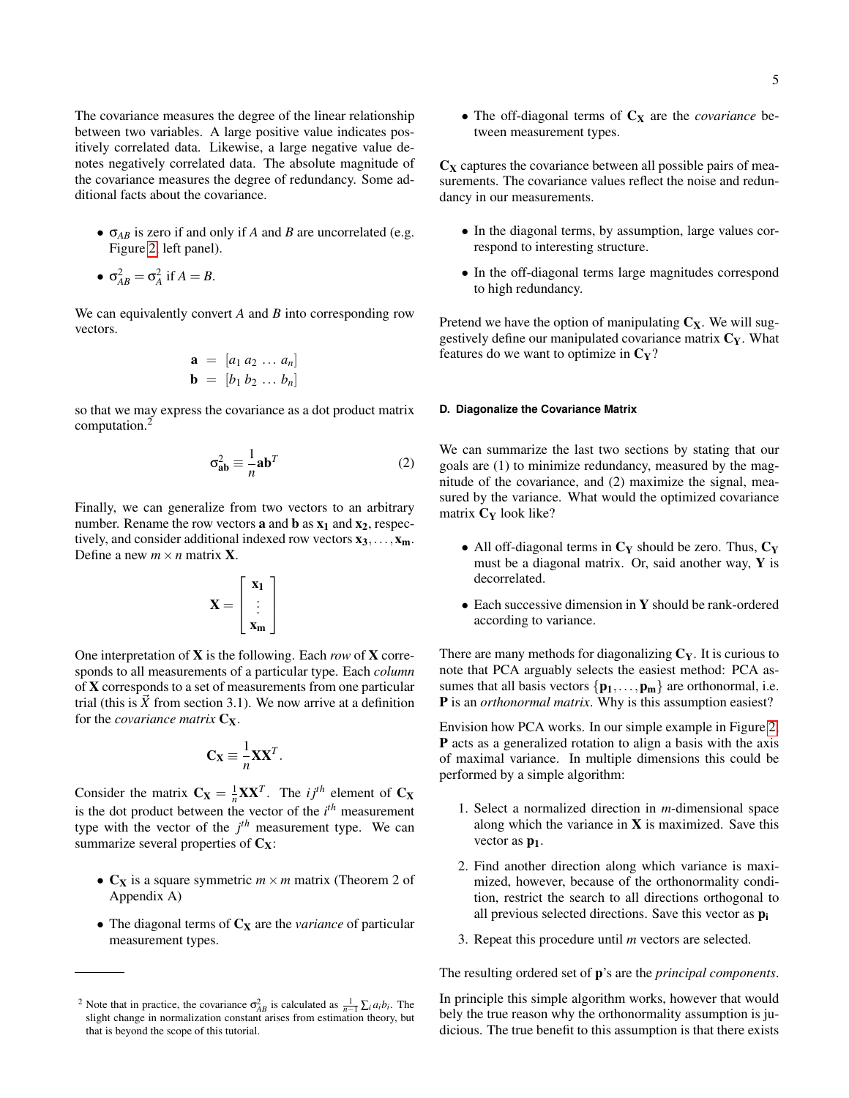The covariance measures the degree of the linear relationship between two variables. A large positive value indicates positively correlated data. Likewise, a large negative value denotes negatively correlated data. The absolute magnitude of the covariance measures the degree of redundancy. Some additional facts about the covariance.

- σ*AB* is zero if and only if *A* and *B* are uncorrelated (e.g. Figure [2,](#page-3-0) left panel).
- $\sigma_{AB}^2 = \sigma_A^2$  if  $A = B$ .

We can equivalently convert *A* and *B* into corresponding row vectors.

$$
\mathbf{a} = [a_1 a_2 \dots a_n]
$$

$$
\mathbf{b} = [b_1 b_2 \dots b_n]
$$

so that we may express the covariance as a dot product matrix computation.<sup>2</sup>

$$
\sigma_{ab}^2 \equiv \frac{1}{n} ab^T
$$
 (2)

Finally, we can generalize from two vectors to an arbitrary number. Rename the row vectors **a** and **b** as  $x_1$  and  $x_2$ , respectively, and consider additional indexed row vectors  $x_3, \ldots, x_m$ . Define a new  $m \times n$  matrix **X**.

$$
X = \left[ \begin{array}{c} x_1 \\ \vdots \\ x_m \end{array} \right]
$$

One interpretation of X is the following. Each *row* of X corresponds to all measurements of a particular type. Each *column* of X corresponds to a set of measurements from one particular trial (this is  $\vec{X}$  from section 3.1). We now arrive at a definition for the *covariance matrix*  $C_X$ .

$$
\mathbf{C}_{\mathbf{X}} \equiv \frac{1}{n} \mathbf{X} \mathbf{X}^T.
$$

Consider the matrix  $C_X = \frac{1}{n}XX^T$ . The *i j<sup>th</sup>* element of  $C_X$ is the dot product between the vector of the  $i<sup>th</sup>$  measurement type with the vector of the *j th* measurement type. We can summarize several properties of  $C_X$ :

- $C_X$  is a square symmetric  $m \times m$  matrix (Theorem 2 of Appendix A)
- The diagonal terms of  $C_X$  are the *variance* of particular measurement types.

• The off-diagonal terms of  $C_X$  are the *covariance* between measurement types.

 $C_X$  captures the covariance between all possible pairs of measurements. The covariance values reflect the noise and redundancy in our measurements.

- In the diagonal terms, by assumption, large values correspond to interesting structure.
- In the off-diagonal terms large magnitudes correspond to high redundancy.

Pretend we have the option of manipulating  $C_x$ . We will suggestively define our manipulated covariance matrix  $C_Y$ . What features do we want to optimize in  $C_V$ ?

### **D. Diagonalize the Covariance Matrix**

We can summarize the last two sections by stating that our goals are (1) to minimize redundancy, measured by the magnitude of the covariance, and (2) maximize the signal, measured by the variance. What would the optimized covariance matrix  $C_V$  look like?

- All off-diagonal terms in  $C_Y$  should be zero. Thus,  $C_Y$ must be a diagonal matrix. Or, said another way, Y is decorrelated.
- Each successive dimension in Y should be rank-ordered according to variance.

There are many methods for diagonalizing  $C_Y$ . It is curious to note that PCA arguably selects the easiest method: PCA assumes that all basis vectors  $\{p_1, \ldots, p_m\}$  are orthonormal, i.e. P is an *orthonormal matrix*. Why is this assumption easiest?

Envision how PCA works. In our simple example in Figure [2,](#page-3-0) P acts as a generalized rotation to align a basis with the axis of maximal variance. In multiple dimensions this could be performed by a simple algorithm:

- 1. Select a normalized direction in *m*-dimensional space along which the variance in  $X$  is maximized. Save this vector as  $p_1$ .
- 2. Find another direction along which variance is maximized, however, because of the orthonormality condition, restrict the search to all directions orthogonal to all previous selected directions. Save this vector as p<sup>i</sup>
- 3. Repeat this procedure until *m* vectors are selected.

The resulting ordered set of p's are the *principal components*.

In principle this simple algorithm works, however that would bely the true reason why the orthonormality assumption is judicious. The true benefit to this assumption is that there exists

<sup>&</sup>lt;sup>2</sup> Note that in practice, the covariance  $\sigma_{AB}^2$  is calculated as  $\frac{1}{n-1} \sum_i a_i b_i$ . The slight change in normalization constant arises from estimation theory, but that is beyond the scope of this tutorial.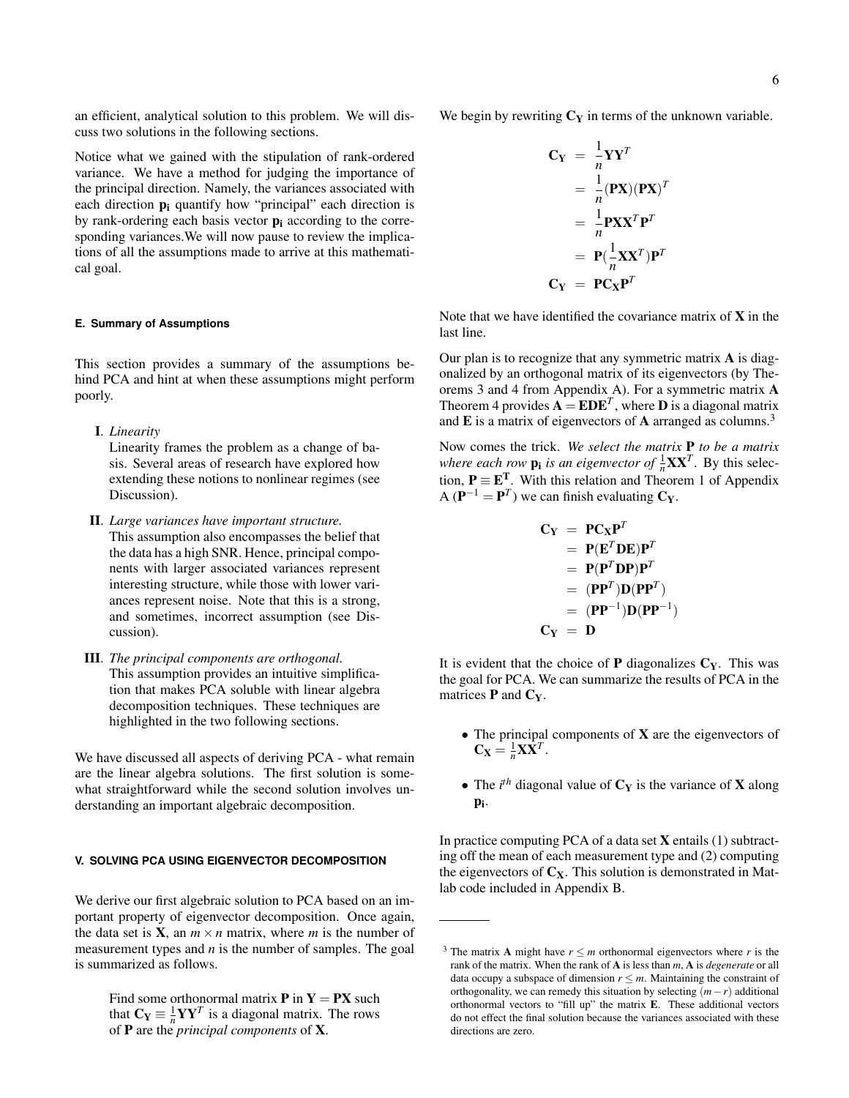an efficient, analytical solution to this problem. We will discuss two solutions in the following sections.

Notice what we gained with the stipulation of rank-ordered variance. We have a method for judging the importance of the principal direction. Namely, the variances associated with each direction  $\mathbf{p}_i$  quantify how "principal" each direction is by rank-ordering each basis vector  $p_i$  according to the corresponding variances.We will now pause to review the implications of all the assumptions made to arrive at this mathematical goal.

#### **E. Summary of Assumptions**

This section provides a summary of the assumptions behind PCA and hint at when these assumptions might perform poorly.

I. *Linearity*

Linearity frames the problem as a change of basis. Several areas of research have explored how extending these notions to nonlinear regimes (see Discussion).

II. *Large variances have important structure.*

This assumption also encompasses the belief that the data has a high SNR. Hence, principal components with larger associated variances represent interesting structure, while those with lower variances represent noise. Note that this is a strong, and sometimes, incorrect assumption (see Discussion).

III. *The principal components are orthogonal.* This assumption provides an intuitive simplification that makes PCA soluble with linear algebra decomposition techniques. These techniques are highlighted in the two following sections.

We have discussed all aspects of deriving PCA - what remain are the linear algebra solutions. The first solution is somewhat straightforward while the second solution involves understanding an important algebraic decomposition.

### **V. SOLVING PCA USING EIGENVECTOR DECOMPOSITION**

We derive our first algebraic solution to PCA based on an important property of eigenvector decomposition. Once again, the data set is **X**, an  $m \times n$  matrix, where *m* is the number of measurement types and *n* is the number of samples. The goal is summarized as follows.

Find some orthonormal matrix **P** in  $Y = PX$  such that  $C_Y \equiv \frac{1}{n}YY^T$  is a diagonal matrix. The rows of P are the *principal components* of X.

We begin by rewriting  $C_Y$  in terms of the unknown variable.

$$
C_Y = \frac{1}{n} Y Y^T
$$
  
=  $\frac{1}{n} (PX) (PX)^T$   
=  $\frac{1}{n} PXX^T P^T$   
=  $P(\frac{1}{n} XX^T) P^T$   
 $C_Y$  =  $P C_X P^T$ 

Note that we have identified the covariance matrix of  $X$  in the last line.

Our plan is to recognize that any symmetric matrix A is diagonalized by an orthogonal matrix of its eigenvectors (by Theorems 3 and 4 from Appendix A). For a symmetric matrix A Theorem 4 provides  $\mathbf{A} = \mathbf{EDE}^T$ , where **D** is a diagonal matrix and  $\bf{E}$  is a matrix of eigenvectors of  $\bf{A}$  arranged as columns.<sup>3</sup>

Now comes the trick. *We select the matrix* P *to be a matrix where each row*  $\mathbf{p_i}$  *is an eigenvector of*  $\frac{1}{n} \mathbf{X} \mathbf{X}^T$ . By this selection,  $P \equiv E^T$ . With this relation and Theorem 1 of Appendix  $A (P^{-1} = P^{T})$  we can finish evaluating  $C_{Y}$ .

$$
C_Y = PC_XP^T
$$
  
= P(E<sup>T</sup>DE)P<sup>T</sup>  
= P(P<sup>T</sup>DP)P<sup>T</sup>  
= (PP<sup>T</sup>)D(PP<sup>T</sup>)  
= (PP<sup>-1</sup>)D(PP<sup>-1</sup>)  
C<sub>Y</sub> = D

It is evident that the choice of  $P$  diagonalizes  $C_Y$ . This was the goal for PCA. We can summarize the results of PCA in the matrices  $P$  and  $C_V$ .

- The principal components of **X** are the eigenvectors of  $\mathbf{C}_{\mathbf{X}} = \frac{1}{n} \mathbf{X} \mathbf{X}^T$ .
- The  $i^{th}$  diagonal value of  $C_Y$  is the variance of **X** along pi .

In practice computing PCA of a data set  $X$  entails (1) subtracting off the mean of each measurement type and (2) computing the eigenvectors of  $C_X$ . This solution is demonstrated in Matlab code included in Appendix B.

<sup>&</sup>lt;sup>3</sup> The matrix **A** might have  $r \leq m$  orthonormal eigenvectors where *r* is the rank of the matrix. When the rank of A is less than *m*, A is *degenerate* or all data occupy a subspace of dimension  $r \leq m$ . Maintaining the constraint of orthogonality, we can remedy this situation by selecting  $(m-r)$  additional orthonormal vectors to "fill up" the matrix E. These additional vectors do not effect the final solution because the variances associated with these directions are zero.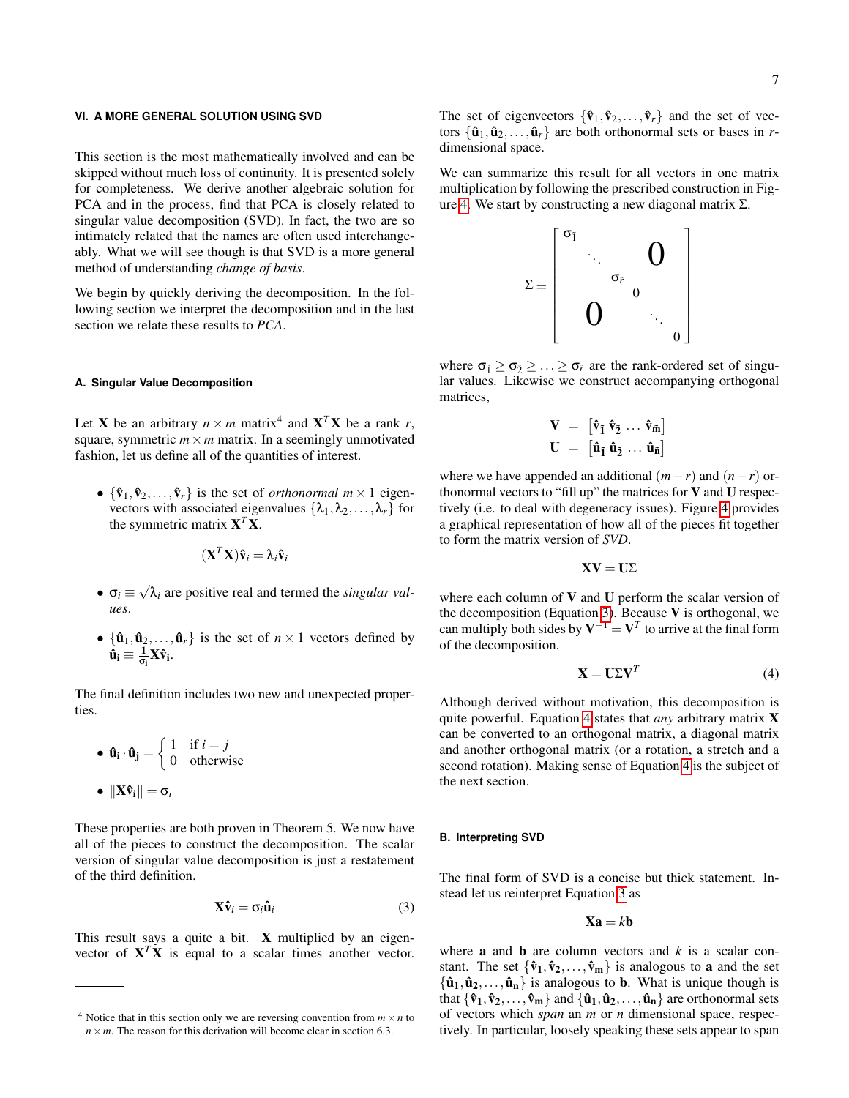#### **VI. A MORE GENERAL SOLUTION USING SVD**

This section is the most mathematically involved and can be skipped without much loss of continuity. It is presented solely for completeness. We derive another algebraic solution for PCA and in the process, find that PCA is closely related to singular value decomposition (SVD). In fact, the two are so intimately related that the names are often used interchangeably. What we will see though is that SVD is a more general method of understanding *change of basis*.

We begin by quickly deriving the decomposition. In the following section we interpret the decomposition and in the last section we relate these results to *PCA*.

#### **A. Singular Value Decomposition**

Let **X** be an arbitrary  $n \times m$  matrix<sup>4</sup> and **X**<sup>*T*</sup>**X** be a rank *r*, square, symmetric  $m \times m$  matrix. In a seemingly unmotivated fashion, let us define all of the quantities of interest.

•  $\{\hat{\mathbf{v}}_1, \hat{\mathbf{v}}_2, \dots, \hat{\mathbf{v}}_r\}$  is the set of *orthonormal*  $m \times 1$  eigenvectors with associated eigenvalues  $\{\lambda_1, \lambda_2, \ldots, \lambda_r\}$  for the symmetric matrix  $X^T\bar{X}$ .

$$
(\mathbf{X}^T \mathbf{X}) \hat{\mathbf{v}}_i = \lambda_i \hat{\mathbf{v}}_i
$$

- σ*<sup>i</sup>* ≡ √ λ*<sup>i</sup>* are positive real and termed the *singular values*.
- $\{\hat{\mathbf{u}}_1, \hat{\mathbf{u}}_2, \dots, \hat{\mathbf{u}}_r\}$  is the set of  $n \times 1$  vectors defined by  $\hat{\mathbf{u}}_{\mathbf{i}} \equiv \frac{1}{\sigma_{\mathbf{i}}} \mathbf{X} \hat{\mathbf{v}}_{\mathbf{i}}.$

The final definition includes two new and unexpected properties.

\n- $$
\hat{\mathbf{u}}_i \cdot \hat{\mathbf{u}}_j = \begin{cases} 1 & \text{if } i = j \\ 0 & \text{otherwise} \end{cases}
$$
\n- $\|\mathbf{X}\hat{\mathbf{v}}_i\| = \sigma_i$
\n

These properties are both proven in Theorem 5. We now have all of the pieces to construct the decomposition. The scalar version of singular value decomposition is just a restatement of the third definition.

<span id="page-6-0"></span>
$$
\mathbf{X}\hat{\mathbf{v}}_i = \sigma_i \hat{\mathbf{u}}_i \tag{3}
$$

This result says a quite a bit. X multiplied by an eigenvector of  $X^T X$  is equal to a scalar times another vector.

The set of eigenvectors  $\{\hat{\mathbf{v}}_1, \hat{\mathbf{v}}_2, \dots, \hat{\mathbf{v}}_r\}$  and the set of vectors  $\{\hat{\mathbf{u}}_1, \hat{\mathbf{u}}_2, \dots, \hat{\mathbf{u}}_r\}$  are both orthonormal sets or bases in *r*dimensional space.

We can summarize this result for all vectors in one matrix multiplication by following the prescribed construction in Fig-ure [4.](#page-7-0) We start by constructing a new diagonal matrix  $Σ$ .



where  $\sigma_{\tilde{1}} \geq \sigma_{\tilde{2}} \geq \ldots \geq \sigma_{\tilde{r}}$  are the rank-ordered set of singular values. Likewise we construct accompanying orthogonal matrices,

$$
V = [\hat{v}_{\tilde{1}} \hat{v}_{\tilde{2}} \dots \hat{v}_{\tilde{m}}] U = [\hat{u}_{\tilde{1}} \hat{u}_{\tilde{2}} \dots \hat{u}_{\tilde{n}}]
$$

where we have appended an additional  $(m-r)$  and  $(n-r)$  orthonormal vectors to "fill up" the matrices for V and U respectively (i.e. to deal with degeneracy issues). Figure [4](#page-7-0) provides a graphical representation of how all of the pieces fit together to form the matrix version of *SVD*.

$$
XV = U\Sigma
$$

where each column of  $V$  and  $U$  perform the scalar version of the decomposition (Equation [3\)](#page-6-0). Because  $V$  is orthogonal, we can multiply both sides by  $V^{-1} = V^T$  to arrive at the final form of the decomposition.

<span id="page-6-1"></span>
$$
\mathbf{X} = \mathbf{U} \Sigma \mathbf{V}^T \tag{4}
$$

Although derived without motivation, this decomposition is quite powerful. Equation [4](#page-6-1) states that *any* arbitrary matrix X can be converted to an orthogonal matrix, a diagonal matrix and another orthogonal matrix (or a rotation, a stretch and a second rotation). Making sense of Equation [4](#page-6-1) is the subject of the next section.

### **B. Interpreting SVD**

The final form of SVD is a concise but thick statement. Instead let us reinterpret Equation [3](#page-6-0) as

 $Xa = kb$ 

where **a** and **b** are column vectors and  $k$  is a scalar constant. The set  $\{\hat{v}_1, \hat{v}_2, \dots, \hat{v}_m\}$  is analogous to **a** and the set  $\{\hat{\mathbf{u}}_1, \hat{\mathbf{u}}_2, \dots, \hat{\mathbf{u}}_n\}$  is analogous to **b**. What is unique though is that  $\{\hat{v}_1, \hat{v}_2, \ldots, \hat{v}_m\}$  and  $\{\hat{u}_1, \hat{u}_2, \ldots, \hat{u}_n\}$  are orthonormal sets of vectors which *span* an *m* or *n* dimensional space, respectively. In particular, loosely speaking these sets appear to span

<sup>&</sup>lt;sup>4</sup> Notice that in this section only we are reversing convention from  $m \times n$  to  $n \times m$ . The reason for this derivation will become clear in section 6.3.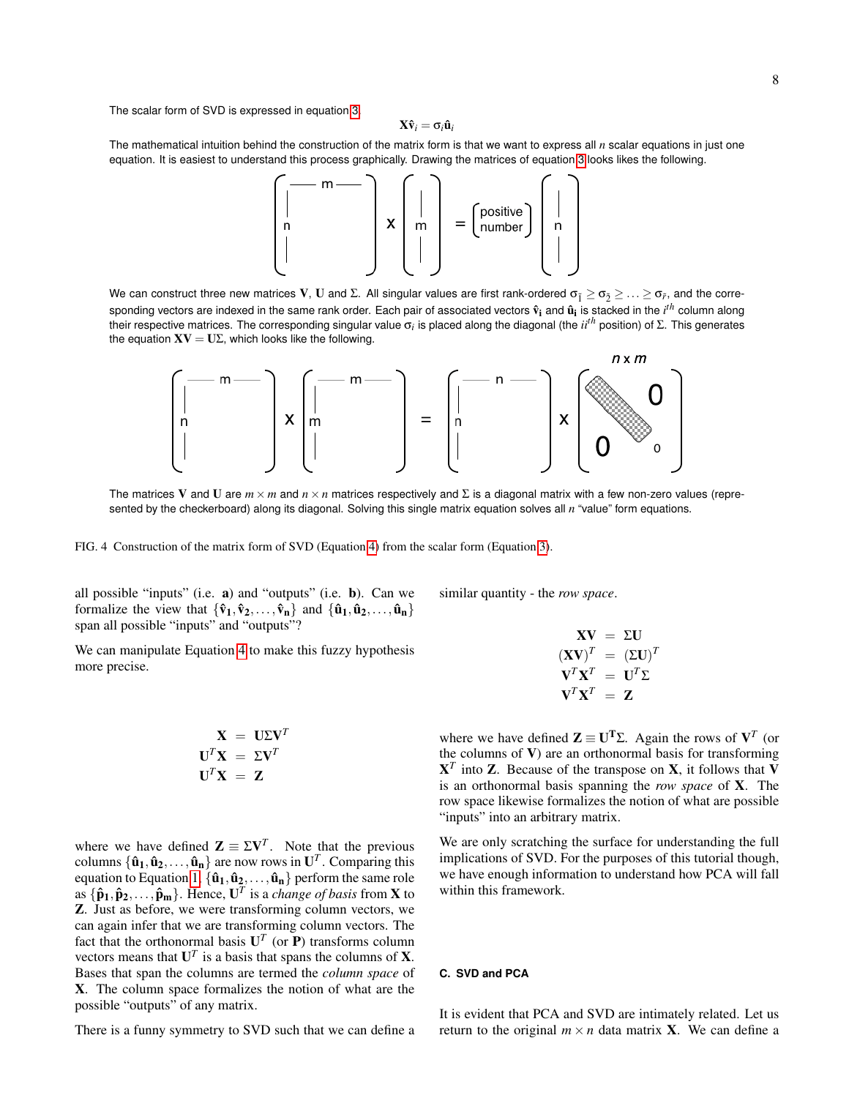The scalar form of SVD is expressed in equation [3.](#page-6-0)

$$
\mathbf{X}\mathbf{\hat{v}}_i = \sigma_i\mathbf{\hat{u}}_i
$$

The mathematical intuition behind the construction of the matrix form is that we want to express all *n* scalar equations in just one equation. It is easiest to understand this process graphically. Drawing the matrices of equation [3](#page-6-0) looks likes the following.



We can construct three new matrices V, U and Σ. All singular values are first rank-ordered  $\sigma_{\tilde{l}}\geq\sigma_{\tilde{2}}\geq\ldots\geq\sigma_{\tilde{r}},$  and the corresponding vectors are indexed in the same rank order. Each pair of associated vectors  $\hat{\mathbf{v}}_i$  and  $\hat{\mathbf{u}}_i$  is stacked in the  $i^{th}$  column along their respective matrices. The corresponding singular value σ<sub>i</sub> is placed along the diagonal (the *ii<sup>th</sup> position) of Σ*. This generates the equation  $\mathbf{X}\mathbf{V} = \mathbf{U}\Sigma$ , which looks like the following.



The matrices V and U are *m*×*m* and *n*×*n* matrices respectively and Σ is a diagonal matrix with a few non-zero values (represented by the checkerboard) along its diagonal. Solving this single matrix equation solves all *n* "value" form equations.

<span id="page-7-0"></span>FIG. 4 Construction of the matrix form of SVD (Equation [4\)](#page-6-1) from the scalar form (Equation [3\)](#page-6-0).

all possible "inputs" (i.e. a) and "outputs" (i.e. b). Can we formalize the view that  $\{\hat{v}_1, \hat{v}_2, \ldots, \hat{v}_n\}$  and  $\{\hat{u}_1, \hat{u}_2, \ldots, \hat{u}_n\}$ span all possible "inputs" and "outputs"?

We can manipulate Equation [4](#page-6-1) to make this fuzzy hypothesis more precise.

$$
X = U\Sigma V^{T}
$$

$$
U^{T}X = \Sigma V^{T}
$$

$$
U^{T}X = Z
$$

where we have defined  $\mathbf{Z} \equiv \Sigma \mathbf{V}^T$ . Note that the previous columns  $\{\hat{\mathbf{u}}_1, \hat{\mathbf{u}}_2, \dots, \hat{\mathbf{u}}_n\}$  are now rows in  $\mathbf{U}^T$ . Comparing this equation to Equation [1,](#page-2-0)  $\{\hat{\mathbf{u}}_1, \hat{\mathbf{u}}_2, \dots, \hat{\mathbf{u}}_n\}$  perform the same role as  $\{\hat{\mathbf{p}}_1, \hat{\mathbf{p}}_2, \ldots, \hat{\mathbf{p}}_m\}$ . Hence,  $\mathbf{U}^T$  is a *change of basis* from **X** to Z. Just as before, we were transforming column vectors, we can again infer that we are transforming column vectors. The fact that the orthonormal basis  $U^T$  (or **P**) transforms column vectors means that  $U^T$  is a basis that spans the columns of **X**. Bases that span the columns are termed the *column space* of X. The column space formalizes the notion of what are the possible "outputs" of any matrix.

similar quantity - the *row space*.

$$
\mathbf{X}\mathbf{V} = \Sigma \mathbf{U}
$$

$$
(\mathbf{X}\mathbf{V})^T = (\Sigma \mathbf{U})^T
$$

$$
\mathbf{V}^T \mathbf{X}^T = \mathbf{U}^T \Sigma
$$

$$
\mathbf{V}^T \mathbf{X}^T = \mathbf{Z}
$$

where we have defined  $\mathbf{Z} \equiv \mathbf{U}^{\mathbf{T}} \Sigma$ . Again the rows of  $\mathbf{V}^T$  (or the columns of  $V$ ) are an orthonormal basis for transforming  $X^T$  into Z. Because of the transpose on X, it follows that  $\overline{V}$ is an orthonormal basis spanning the *row space* of X. The row space likewise formalizes the notion of what are possible "inputs" into an arbitrary matrix.

We are only scratching the surface for understanding the full implications of SVD. For the purposes of this tutorial though, we have enough information to understand how PCA will fall within this framework.

### **C. SVD and PCA**

There is a funny symmetry to SVD such that we can define a

It is evident that PCA and SVD are intimately related. Let us return to the original  $m \times n$  data matrix **X**. We can define a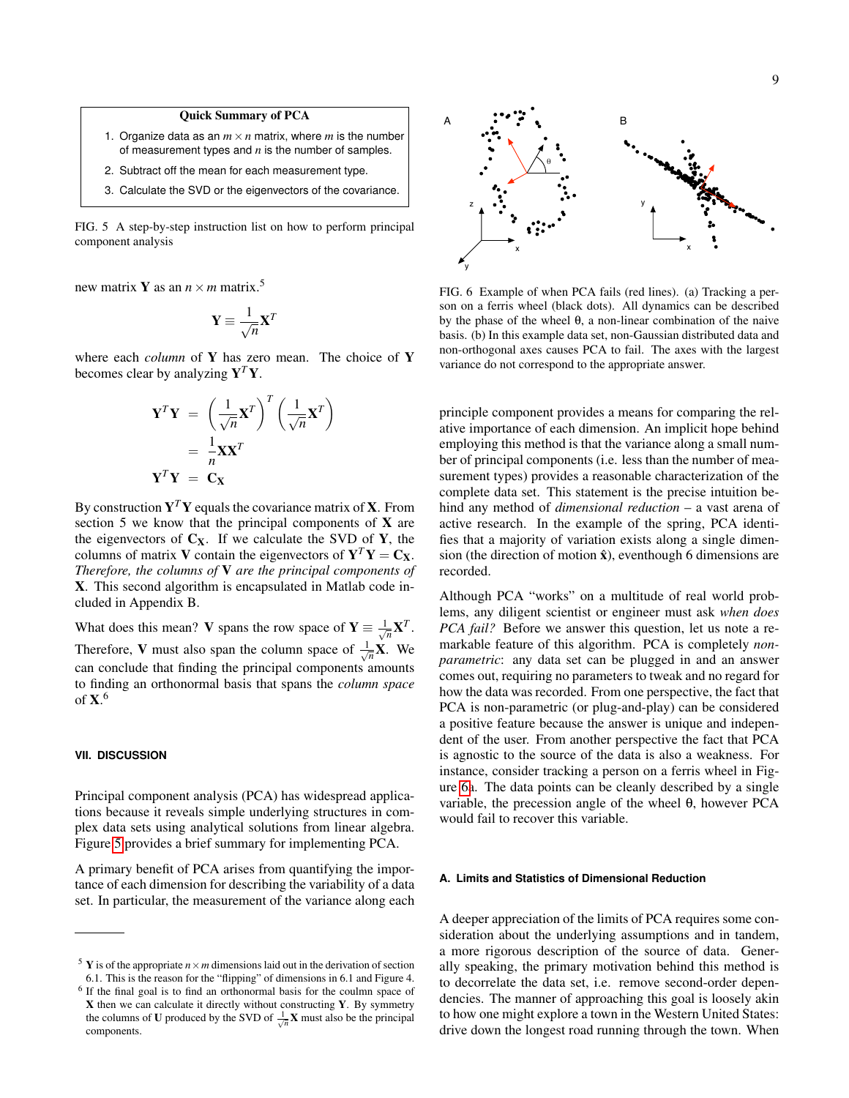#### Quick Summary of PCA

- 1. Organize data as an  $m \times n$  matrix, where *m* is the number of measurement types and *n* is the number of samples.
- 2. Subtract off the mean for each measurement type.
- <span id="page-8-0"></span>3. Calculate the SVD or the eigenvectors of the covariance.

FIG. 5 A step-by-step instruction list on how to perform principal component analysis

new matrix **Y** as an  $n \times m$  matrix.<sup>5</sup>

$$
\mathbf{Y} \equiv \frac{1}{\sqrt{n}} \mathbf{X}^T
$$

where each *column* of Y has zero mean. The choice of Y becomes clear by analyzing Y *<sup>T</sup>*Y.

$$
\mathbf{Y}^T \mathbf{Y} = \left(\frac{1}{\sqrt{n}} \mathbf{X}^T\right)^T \left(\frac{1}{\sqrt{n}} \mathbf{X}^T\right)
$$

$$
= \frac{1}{n} \mathbf{X} \mathbf{X}^T
$$

$$
\mathbf{Y}^T \mathbf{Y} = \mathbf{C} \mathbf{X}
$$

By construction  $Y^T Y$  equals the covariance matrix of **X**. From section 5 we know that the principal components of  $X$  are the eigenvectors of  $C_X$ . If we calculate the SVD of Y, the columns of matrix **V** contain the eigenvectors of  $Y^T Y = C_X$ . *Therefore, the columns of* V *are the principal components of* X. This second algorithm is encapsulated in Matlab code included in Appendix B.

What does this mean? V spans the row space of  $Y = \frac{1}{\sqrt{n}} X^T$ . Therefore, V must also span the column space of  $\frac{1}{\sqrt{n}}\mathbf{X}$ . We can conclude that finding the principal components amounts to finding an orthonormal basis that spans the *column space* of  $\mathbf{X}$ .<sup>6</sup>

### **VII. DISCUSSION**

Principal component analysis (PCA) has widespread applications because it reveals simple underlying structures in complex data sets using analytical solutions from linear algebra. Figure [5](#page-8-0) provides a brief summary for implementing PCA.

A primary benefit of PCA arises from quantifying the importance of each dimension for describing the variability of a data set. In particular, the measurement of the variance along each



<span id="page-8-1"></span>FIG. 6 Example of when PCA fails (red lines). (a) Tracking a person on a ferris wheel (black dots). All dynamics can be described by the phase of the wheel θ, a non-linear combination of the naive basis. (b) In this example data set, non-Gaussian distributed data and non-orthogonal axes causes PCA to fail. The axes with the largest variance do not correspond to the appropriate answer.

principle component provides a means for comparing the relative importance of each dimension. An implicit hope behind employing this method is that the variance along a small number of principal components (i.e. less than the number of measurement types) provides a reasonable characterization of the complete data set. This statement is the precise intuition behind any method of *dimensional reduction* – a vast arena of active research. In the example of the spring, PCA identifies that a majority of variation exists along a single dimension (the direction of motion  $\hat{x}$ ), eventhough 6 dimensions are recorded.

Although PCA "works" on a multitude of real world problems, any diligent scientist or engineer must ask *when does PCA fail?* Before we answer this question, let us note a remarkable feature of this algorithm. PCA is completely *nonparametric*: any data set can be plugged in and an answer comes out, requiring no parameters to tweak and no regard for how the data was recorded. From one perspective, the fact that PCA is non-parametric (or plug-and-play) can be considered a positive feature because the answer is unique and independent of the user. From another perspective the fact that PCA is agnostic to the source of the data is also a weakness. For instance, consider tracking a person on a ferris wheel in Figure [6a](#page-8-1). The data points can be cleanly described by a single variable, the precession angle of the wheel θ, however PCA would fail to recover this variable.

### **A. Limits and Statistics of Dimensional Reduction**

A deeper appreciation of the limits of PCA requires some consideration about the underlying assumptions and in tandem, a more rigorous description of the source of data. Generally speaking, the primary motivation behind this method is to decorrelate the data set, i.e. remove second-order dependencies. The manner of approaching this goal is loosely akin to how one might explore a town in the Western United States: drive down the longest road running through the town. When

<sup>&</sup>lt;sup>5</sup> **Y** is of the appropriate  $n \times m$  dimensions laid out in the derivation of section 6.1. This is the reason for the "flipping" of dimensions in 6.1 and Figure 4.

<sup>&</sup>lt;sup>6</sup> If the final goal is to find an orthonormal basis for the coulmn space of X then we can calculate it directly without constructing Y. By symmetry the columns of **U** produced by the SVD of  $\frac{1}{\sqrt{n}}$ **X** must also be the principal components.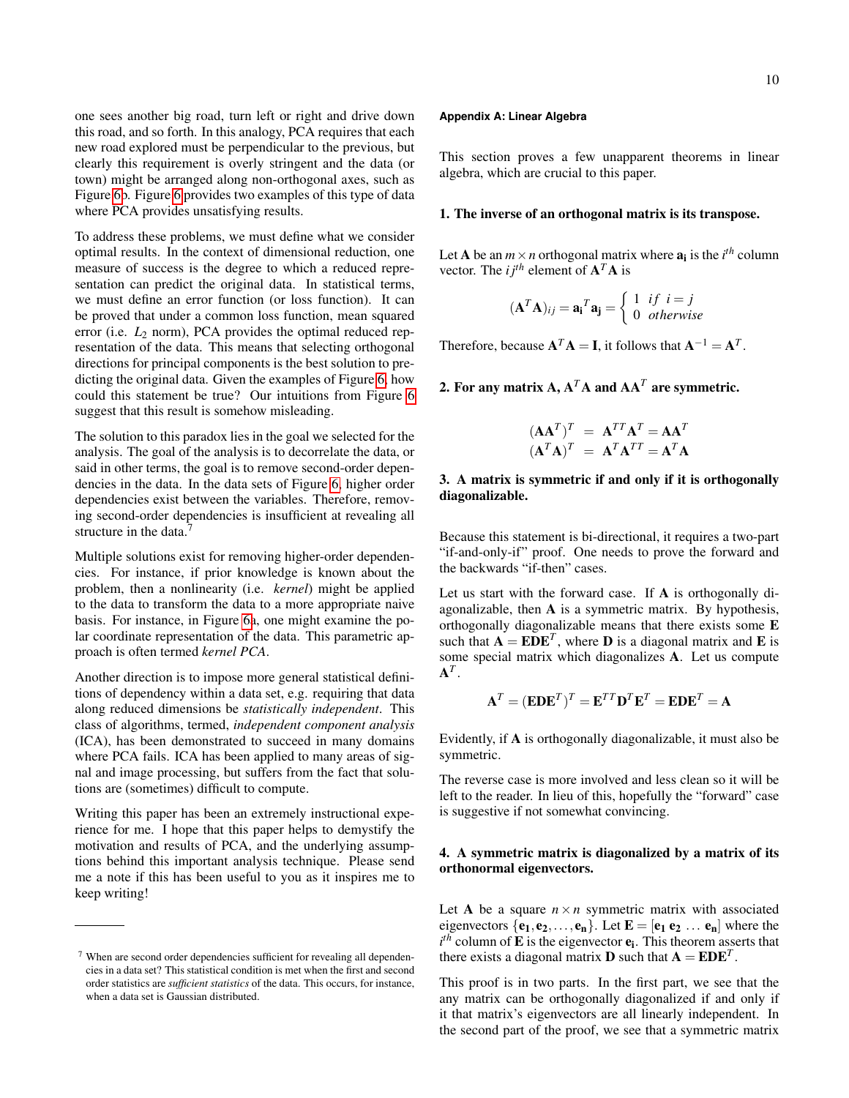one sees another big road, turn left or right and drive down this road, and so forth. In this analogy, PCA requires that each new road explored must be perpendicular to the previous, but clearly this requirement is overly stringent and the data (or town) might be arranged along non-orthogonal axes, such as Figure [6b](#page-8-1). Figure [6](#page-8-1) provides two examples of this type of data where PCA provides unsatisfying results.

To address these problems, we must define what we consider optimal results. In the context of dimensional reduction, one measure of success is the degree to which a reduced representation can predict the original data. In statistical terms, we must define an error function (or loss function). It can be proved that under a common loss function, mean squared error (i.e.  $L_2$  norm), PCA provides the optimal reduced representation of the data. This means that selecting orthogonal directions for principal components is the best solution to predicting the original data. Given the examples of Figure [6,](#page-8-1) how could this statement be true? Our intuitions from Figure [6](#page-8-1) suggest that this result is somehow misleading.

The solution to this paradox lies in the goal we selected for the analysis. The goal of the analysis is to decorrelate the data, or said in other terms, the goal is to remove second-order dependencies in the data. In the data sets of Figure [6,](#page-8-1) higher order dependencies exist between the variables. Therefore, removing second-order dependencies is insufficient at revealing all structure in the data.<sup>7</sup>

Multiple solutions exist for removing higher-order dependencies. For instance, if prior knowledge is known about the problem, then a nonlinearity (i.e. *kernel*) might be applied to the data to transform the data to a more appropriate naive basis. For instance, in Figure [6a](#page-8-1), one might examine the polar coordinate representation of the data. This parametric approach is often termed *kernel PCA*.

Another direction is to impose more general statistical definitions of dependency within a data set, e.g. requiring that data along reduced dimensions be *statistically independent*. This class of algorithms, termed, *independent component analysis* (ICA), has been demonstrated to succeed in many domains where PCA fails. ICA has been applied to many areas of signal and image processing, but suffers from the fact that solutions are (sometimes) difficult to compute.

Writing this paper has been an extremely instructional experience for me. I hope that this paper helps to demystify the motivation and results of PCA, and the underlying assumptions behind this important analysis technique. Please send me a note if this has been useful to you as it inspires me to keep writing!

### **Appendix A: Linear Algebra**

This section proves a few unapparent theorems in linear algebra, which are crucial to this paper.

### 1. The inverse of an orthogonal matrix is its transpose.

Let **A** be an  $m \times n$  orthogonal matrix where  $a_i$  is the *i*<sup>th</sup> column vector. The  $ij^{th}$  element of  $A^T A$  is

$$
(\mathbf{A}^T \mathbf{A})_{ij} = \mathbf{a_i}^T \mathbf{a_j} = \begin{cases} 1 & \text{if } i = j \\ 0 & \text{otherwise} \end{cases}
$$

Therefore, because  $A^T A = I$ , it follows that  $A^{-1} = A^T$ .

2. For any matrix  $A, A^T A$  and  $A A^T$  are symmetric.

$$
(\mathbf{A}\mathbf{A}^T)^T = \mathbf{A}^{TT}\mathbf{A}^T = \mathbf{A}\mathbf{A}^T
$$

$$
(\mathbf{A}^T\mathbf{A})^T = \mathbf{A}^T\mathbf{A}^{TT} = \mathbf{A}^T\mathbf{A}
$$

# 3. A matrix is symmetric if and only if it is orthogonally diagonalizable.

Because this statement is bi-directional, it requires a two-part "if-and-only-if" proof. One needs to prove the forward and the backwards "if-then" cases.

Let us start with the forward case. If A is orthogonally diagonalizable, then A is a symmetric matrix. By hypothesis, orthogonally diagonalizable means that there exists some E such that  $\mathbf{A} = \mathbf{EDE}^T$ , where **D** is a diagonal matrix and **E** is some special matrix which diagonalizes A. Let us compute  ${\bf A}^T.$ 

$$
\mathbf{A}^T = (\mathbf{E}\mathbf{D}\mathbf{E}^T)^T = \mathbf{E}^{TT}\mathbf{D}^T\mathbf{E}^T = \mathbf{E}\mathbf{D}\mathbf{E}^T = \mathbf{A}
$$

Evidently, if A is orthogonally diagonalizable, it must also be symmetric.

The reverse case is more involved and less clean so it will be left to the reader. In lieu of this, hopefully the "forward" case is suggestive if not somewhat convincing.

# 4. A symmetric matrix is diagonalized by a matrix of its orthonormal eigenvectors.

Let A be a square  $n \times n$  symmetric matrix with associated eigenvectors  $\{e_1, e_2, \ldots, e_n\}$ . Let  $E = [e_1 \, e_2 \, \ldots \, e_n]$  where the  $i^{th}$  column of **E** is the eigenvector  $e_i$ . This theorem asserts that there exists a diagonal matrix **D** such that  $A = EDE^{T}$ .

This proof is in two parts. In the first part, we see that the any matrix can be orthogonally diagonalized if and only if it that matrix's eigenvectors are all linearly independent. In the second part of the proof, we see that a symmetric matrix

<sup>7</sup> When are second order dependencies sufficient for revealing all dependencies in a data set? This statistical condition is met when the first and second order statistics are *sufficient statistics* of the data. This occurs, for instance, when a data set is Gaussian distributed.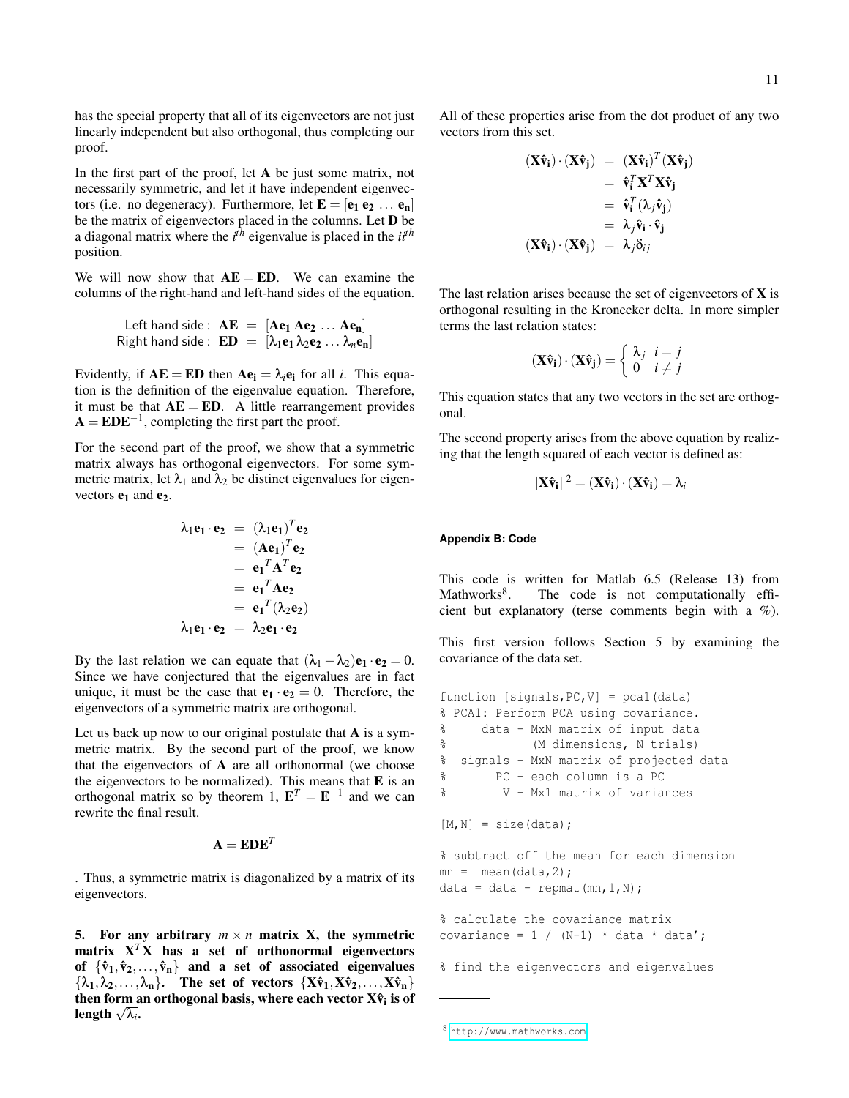has the special property that all of its eigenvectors are not just linearly independent but also orthogonal, thus completing our proof.

In the first part of the proof, let A be just some matrix, not necessarily symmetric, and let it have independent eigenvectors (i.e. no degeneracy). Furthermore, let  $\mathbf{E} = [\mathbf{e}_1 \, \mathbf{e}_2 \, \dots \, \mathbf{e}_n]$ be the matrix of eigenvectors placed in the columns. Let D be a diagonal matrix where the *i th* eigenvalue is placed in the *iith* position.

We will now show that  $AE = ED$ . We can examine the columns of the right-hand and left-hand sides of the equation.

Left hand side: 
$$
\mathbf{AE} = [\mathbf{A}\mathbf{e}_1 \mathbf{A}\mathbf{e}_2 \dots \mathbf{A}\mathbf{e}_n]
$$
  
Right hand side:  $\mathbf{ED} = [\lambda_1 \mathbf{e}_1 \lambda_2 \mathbf{e}_2 \dots \lambda_n \mathbf{e}_n]$ 

Evidently, if  $AE = ED$  then  $Ae_i = \lambda_i e_i$  for all *i*. This equation is the definition of the eigenvalue equation. Therefore, it must be that  $AE = ED$ . A little rearrangement provides  $A = EDE^{-1}$ , completing the first part the proof.

For the second part of the proof, we show that a symmetric matrix always has orthogonal eigenvectors. For some symmetric matrix, let  $\lambda_1$  and  $\lambda_2$  be distinct eigenvalues for eigenvectors  $e_1$  and  $e_2$ .

$$
\lambda_1 \mathbf{e}_1 \cdot \mathbf{e}_2 = (\lambda_1 \mathbf{e}_1)^T \mathbf{e}_2
$$
  
\n
$$
= (\mathbf{A} \mathbf{e}_1)^T \mathbf{e}_2
$$
  
\n
$$
= \mathbf{e}_1^T \mathbf{A}^T \mathbf{e}_2
$$
  
\n
$$
= \mathbf{e}_1^T \mathbf{A} \mathbf{e}_2
$$
  
\n
$$
= \mathbf{e}_1^T (\lambda_2 \mathbf{e}_2)
$$
  
\n
$$
\lambda_1 \mathbf{e}_1 \cdot \mathbf{e}_2 = \lambda_2 \mathbf{e}_1 \cdot \mathbf{e}_2
$$

By the last relation we can equate that  $(\lambda_1 - \lambda_2)e_1 \cdot e_2 = 0$ . Since we have conjectured that the eigenvalues are in fact unique, it must be the case that  $e_1 \cdot e_2 = 0$ . Therefore, the eigenvectors of a symmetric matrix are orthogonal.

Let us back up now to our original postulate that  $A$  is a symmetric matrix. By the second part of the proof, we know that the eigenvectors of A are all orthonormal (we choose the eigenvectors to be normalized). This means that  $E$  is an orthogonal matrix so by theorem 1,  $\mathbf{E}^T = \mathbf{E}^{-1}$  and we can rewrite the final result.

$$
\mathbf{A} = \mathbf{E} \mathbf{D} \mathbf{E}^T
$$

. Thus, a symmetric matrix is diagonalized by a matrix of its eigenvectors.

5. For any arbitrary  $m \times n$  matrix X, the symmetric matrix  $X^T X$  has a set of orthonormal eigenvectors of  $\{\hat{v}_1, \hat{v}_2, \ldots, \hat{v}_n\}$  and a set of associated eigenvalues  $\{\lambda_1, \lambda_2, \ldots, \lambda_n\}$ . The set of vectors  $\{X\hat{v}_1, X\hat{v}_2, \ldots, X\hat{v}_n\}$ then form an orthogonal basis, where each vector  $\mathbf{X} \hat{\mathbf{v}}_{\mathbf{i}}$  is of **unen rorma**<br>length √ $\overline{\lambda_i}.$ 

All of these properties arise from the dot product of any two vectors from this set.

$$
(\mathbf{X}\hat{\mathbf{v}}_i) \cdot (\mathbf{X}\hat{\mathbf{v}}_j) = (\mathbf{X}\hat{\mathbf{v}}_i)^T (\mathbf{X}\hat{\mathbf{v}}_j)
$$
  
\n
$$
= \hat{\mathbf{v}}_i^T \mathbf{X}^T \mathbf{X} \hat{\mathbf{v}}_j
$$
  
\n
$$
= \hat{\mathbf{v}}_i^T (\lambda_j \hat{\mathbf{v}}_j)
$$
  
\n
$$
= \lambda_j \hat{\mathbf{v}}_i \cdot \hat{\mathbf{v}}_j
$$
  
\n
$$
(\mathbf{X}\hat{\mathbf{v}}_i) \cdot (\mathbf{X}\hat{\mathbf{v}}_j) = \lambda_j \delta_{ij}
$$

The last relation arises because the set of eigenvectors of  $X$  is orthogonal resulting in the Kronecker delta. In more simpler terms the last relation states:

$$
(\mathbf{X}\hat{\mathbf{v}}_{\mathbf{i}}) \cdot (\mathbf{X}\hat{\mathbf{v}}_{\mathbf{j}}) = \begin{cases} \lambda_j & i = j \\ 0 & i \neq j \end{cases}
$$

This equation states that any two vectors in the set are orthogonal.

The second property arises from the above equation by realizing that the length squared of each vector is defined as:

$$
\|\mathbf{X}\mathbf{\hat{v}_i}\|^2 = (\mathbf{X}\mathbf{\hat{v}_i}) \cdot (\mathbf{X}\mathbf{\hat{v}_i}) = \lambda_i
$$

### **Appendix B: Code**

This code is written for Matlab 6.5 (Release 13) from Mathworks $8<sup>8</sup>$ . The code is not computationally efficient but explanatory (terse comments begin with a %).

This first version follows Section 5 by examining the covariance of the data set.

```
function [signals,PC,V] = pca1(data)
% PCA1: Perform PCA using covariance.
% data - MxN matrix of input data
% (M dimensions, N trials)
% signals - MxN matrix of projected data
% PC - each column is a PC
% V - Mx1 matrix of variances
[M,N] = size(data);% subtract off the mean for each dimension
mn = mean(data, 2);data = data - repmat(\text{mn}, 1, N);
% calculate the covariance matrix
covariance = 1 / (N-1) * data * data';
% find the eigenvectors and eigenvalues
```
<sup>8</sup> <http://www.mathworks.com>